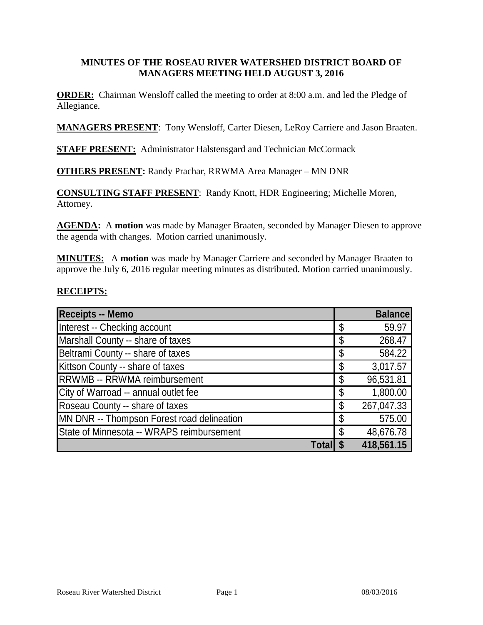### **MINUTES OF THE ROSEAU RIVER WATERSHED DISTRICT BOARD OF MANAGERS MEETING HELD AUGUST 3, 2016**

**ORDER:** Chairman Wensloff called the meeting to order at 8:00 a.m. and led the Pledge of Allegiance.

**MANAGERS PRESENT**: Tony Wensloff, Carter Diesen, LeRoy Carriere and Jason Braaten.

**STAFF PRESENT:** Administrator Halstensgard and Technician McCormack

**OTHERS PRESENT:** Randy Prachar, RRWMA Area Manager – MN DNR

**CONSULTING STAFF PRESENT**: Randy Knott, HDR Engineering; Michelle Moren, Attorney.

**AGENDA:** A **motion** was made by Manager Braaten, seconded by Manager Diesen to approve the agenda with changes. Motion carried unanimously.

**MINUTES:** A **motion** was made by Manager Carriere and seconded by Manager Braaten to approve the July 6, 2016 regular meeting minutes as distributed. Motion carried unanimously.

### **RECEIPTS:**

| <b>Receipts -- Memo</b>                    | <b>Balance</b>   |
|--------------------------------------------|------------------|
| Interest -- Checking account               | \$<br>59.97      |
| Marshall County -- share of taxes          | \$<br>268.47     |
| Beltrami County -- share of taxes          | \$<br>584.22     |
| Kittson County -- share of taxes           | \$<br>3,017.57   |
| <b>RRWMB -- RRWMA reimbursement</b>        | \$<br>96,531.81  |
| City of Warroad -- annual outlet fee       | \$<br>1,800.00   |
| Roseau County -- share of taxes            | \$<br>267,047.33 |
| MN DNR -- Thompson Forest road delineation | \$<br>575.00     |
| State of Minnesota -- WRAPS reimbursement  | \$<br>48,676.78  |
| Tota                                       | 418,561.15       |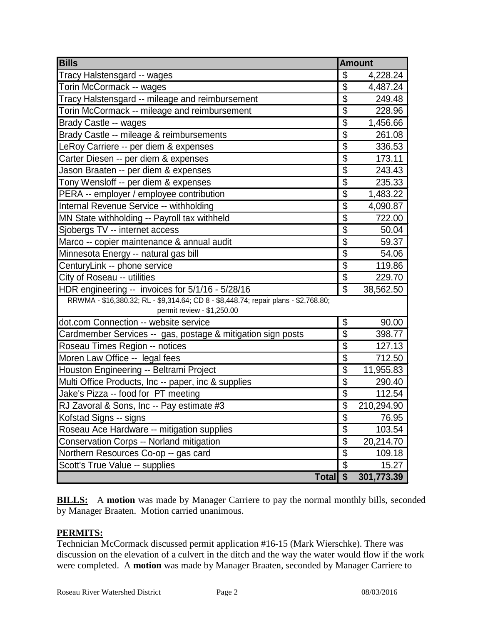| <b>Bills</b>                                                                        | <b>Amount</b>            |            |
|-------------------------------------------------------------------------------------|--------------------------|------------|
| Tracy Halstensgard -- wages                                                         | \$                       | 4,228.24   |
| Torin McCormack -- wages                                                            | \$                       | 4,487.24   |
| Tracy Halstensgard -- mileage and reimbursement                                     | $\overline{\mathcal{S}}$ | 249.48     |
| Torin McCormack -- mileage and reimbursement                                        | $\overline{\mathbb{S}}$  | 228.96     |
| Brady Castle -- wages                                                               | $\overline{\$}$          | 1,456.66   |
| Brady Castle -- mileage & reimbursements                                            | $\overline{\mathbb{S}}$  | 261.08     |
| LeRoy Carriere -- per diem & expenses                                               | $\overline{\$}$          | 336.53     |
| Carter Diesen -- per diem & expenses                                                | \$                       | 173.11     |
| Jason Braaten -- per diem & expenses                                                | \$                       | 243.43     |
| Tony Wensloff -- per diem & expenses                                                | $\overline{\mathcal{S}}$ | 235.33     |
| PERA -- employer / employee contribution                                            | \$                       | 1,483.22   |
| Internal Revenue Service -- withholding                                             | \$                       | 4,090.87   |
| MN State withholding -- Payroll tax withheld                                        | \$                       | 722.00     |
| Sjobergs TV -- internet access                                                      | \$                       | 50.04      |
| Marco -- copier maintenance & annual audit                                          | \$                       | 59.37      |
| Minnesota Energy -- natural gas bill                                                | \$                       | 54.06      |
| CenturyLink -- phone service                                                        | \$                       | 119.86     |
| City of Roseau -- utilities                                                         | $\overline{\mathcal{S}}$ | 229.70     |
| HDR engineering -- invoices for 5/1/16 - 5/28/16                                    | $\mathfrak{S}$           | 38,562.50  |
| RRWMA - \$16,380.32; RL - \$9,314.64; CD 8 - \$8,448.74; repair plans - \$2,768.80; |                          |            |
| permit review - \$1,250.00                                                          |                          |            |
| dot.com Connection -- website service                                               | \$                       | 90.00      |
| Cardmember Services -- gas, postage & mitigation sign posts                         | \$                       | 398.77     |
| Roseau Times Region -- notices                                                      | \$                       | 127.13     |
| Moren Law Office -- legal fees                                                      | $\overline{\mathcal{S}}$ | 712.50     |
| Houston Engineering -- Beltrami Project                                             | \$                       | 11,955.83  |
| Multi Office Products, Inc -- paper, inc & supplies                                 | $\overline{\$}$          | 290.40     |
| Jake's Pizza -- food for PT meeting                                                 | \$                       | 112.54     |
| RJ Zavoral & Sons, Inc -- Pay estimate #3                                           | $\overline{\$}$          | 210,294.90 |
| Kofstad Signs -- signs                                                              | \$                       | 76.95      |
| Roseau Ace Hardware -- mitigation supplies                                          | $\overline{\mathcal{S}}$ | 103.54     |
| Conservation Corps -- Norland mitigation                                            | \$                       | 20,214.70  |
| Northern Resources Co-op -- gas card                                                | $\overline{\mathcal{S}}$ | 109.18     |
| Scott's True Value -- supplies                                                      | \$                       | 15.27      |
| <b>Total</b>                                                                        | $\overline{\mathbf{s}}$  | 301,773.39 |

**BILLS:** A motion was made by Manager Carriere to pay the normal monthly bills, seconded by Manager Braaten. Motion carried unanimous.

#### **PERMITS:**

Technician McCormack discussed permit application #16-15 (Mark Wierschke). There was discussion on the elevation of a culvert in the ditch and the way the water would flow if the work were completed. A **motion** was made by Manager Braaten, seconded by Manager Carriere to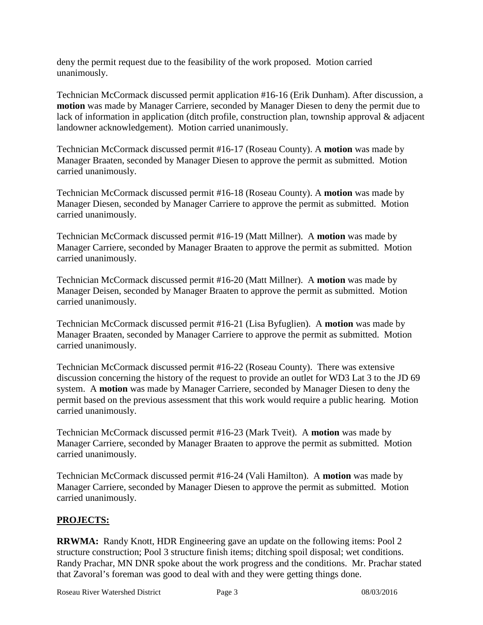deny the permit request due to the feasibility of the work proposed. Motion carried unanimously.

Technician McCormack discussed permit application #16-16 (Erik Dunham). After discussion, a **motion** was made by Manager Carriere, seconded by Manager Diesen to deny the permit due to lack of information in application (ditch profile, construction plan, township approval & adjacent landowner acknowledgement). Motion carried unanimously.

Technician McCormack discussed permit #16-17 (Roseau County). A **motion** was made by Manager Braaten, seconded by Manager Diesen to approve the permit as submitted. Motion carried unanimously.

Technician McCormack discussed permit #16-18 (Roseau County). A **motion** was made by Manager Diesen, seconded by Manager Carriere to approve the permit as submitted. Motion carried unanimously.

Technician McCormack discussed permit #16-19 (Matt Millner). A **motion** was made by Manager Carriere, seconded by Manager Braaten to approve the permit as submitted. Motion carried unanimously.

Technician McCormack discussed permit #16-20 (Matt Millner). A **motion** was made by Manager Deisen, seconded by Manager Braaten to approve the permit as submitted. Motion carried unanimously.

Technician McCormack discussed permit #16-21 (Lisa Byfuglien). A **motion** was made by Manager Braaten, seconded by Manager Carriere to approve the permit as submitted. Motion carried unanimously.

Technician McCormack discussed permit #16-22 (Roseau County). There was extensive discussion concerning the history of the request to provide an outlet for WD3 Lat 3 to the JD 69 system. A **motion** was made by Manager Carriere, seconded by Manager Diesen to deny the permit based on the previous assessment that this work would require a public hearing. Motion carried unanimously.

Technician McCormack discussed permit #16-23 (Mark Tveit). A **motion** was made by Manager Carriere, seconded by Manager Braaten to approve the permit as submitted. Motion carried unanimously.

Technician McCormack discussed permit #16-24 (Vali Hamilton). A **motion** was made by Manager Carriere, seconded by Manager Diesen to approve the permit as submitted. Motion carried unanimously.

# **PROJECTS:**

**RRWMA:** Randy Knott, HDR Engineering gave an update on the following items: Pool 2 structure construction; Pool 3 structure finish items; ditching spoil disposal; wet conditions. Randy Prachar, MN DNR spoke about the work progress and the conditions. Mr. Prachar stated that Zavoral's foreman was good to deal with and they were getting things done.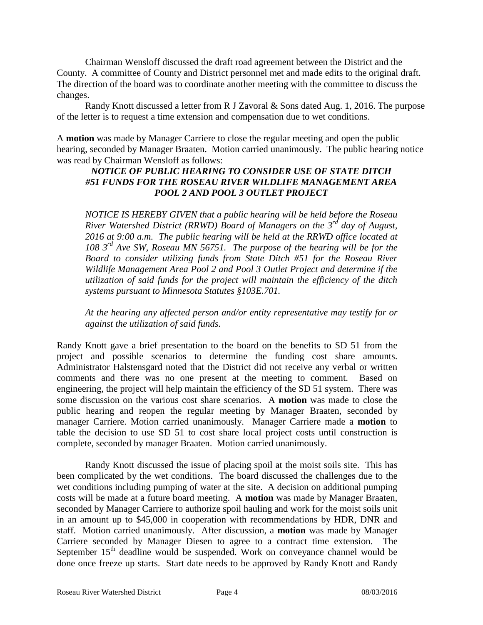Chairman Wensloff discussed the draft road agreement between the District and the County. A committee of County and District personnel met and made edits to the original draft. The direction of the board was to coordinate another meeting with the committee to discuss the changes.

Randy Knott discussed a letter from R J Zavoral & Sons dated Aug. 1, 2016. The purpose of the letter is to request a time extension and compensation due to wet conditions.

A **motion** was made by Manager Carriere to close the regular meeting and open the public hearing, seconded by Manager Braaten. Motion carried unanimously. The public hearing notice was read by Chairman Wensloff as follows:

# *NOTICE OF PUBLIC HEARING TO CONSIDER USE OF STATE DITCH #51 FUNDS FOR THE ROSEAU RIVER WILDLIFE MANAGEMENT AREA POOL 2 AND POOL 3 OUTLET PROJECT*

*NOTICE IS HEREBY GIVEN that a public hearing will be held before the Roseau River Watershed District (RRWD) Board of Managers on the 3rd day of August, 2016 at 9:00 a.m. The public hearing will be held at the RRWD office located at 108 3rd Ave SW, Roseau MN 56751. The purpose of the hearing will be for the Board to consider utilizing funds from State Ditch #51 for the Roseau River Wildlife Management Area Pool 2 and Pool 3 Outlet Project and determine if the utilization of said funds for the project will maintain the efficiency of the ditch systems pursuant to Minnesota Statutes §103E.701.* 

*At the hearing any affected person and/or entity representative may testify for or against the utilization of said funds.*

Randy Knott gave a brief presentation to the board on the benefits to SD 51 from the project and possible scenarios to determine the funding cost share amounts. Administrator Halstensgard noted that the District did not receive any verbal or written comments and there was no one present at the meeting to comment. Based on engineering, the project will help maintain the efficiency of the SD 51 system. There was some discussion on the various cost share scenarios. A **motion** was made to close the public hearing and reopen the regular meeting by Manager Braaten, seconded by manager Carriere. Motion carried unanimously. Manager Carriere made a **motion** to table the decision to use SD 51 to cost share local project costs until construction is complete, seconded by manager Braaten. Motion carried unanimously.

Randy Knott discussed the issue of placing spoil at the moist soils site. This has been complicated by the wet conditions. The board discussed the challenges due to the wet conditions including pumping of water at the site. A decision on additional pumping costs will be made at a future board meeting. A **motion** was made by Manager Braaten, seconded by Manager Carriere to authorize spoil hauling and work for the moist soils unit in an amount up to \$45,000 in cooperation with recommendations by HDR, DNR and staff. Motion carried unanimously. After discussion, a **motion** was made by Manager Carriere seconded by Manager Diesen to agree to a contract time extension. The September  $15<sup>th</sup>$  deadline would be suspended. Work on conveyance channel would be done once freeze up starts. Start date needs to be approved by Randy Knott and Randy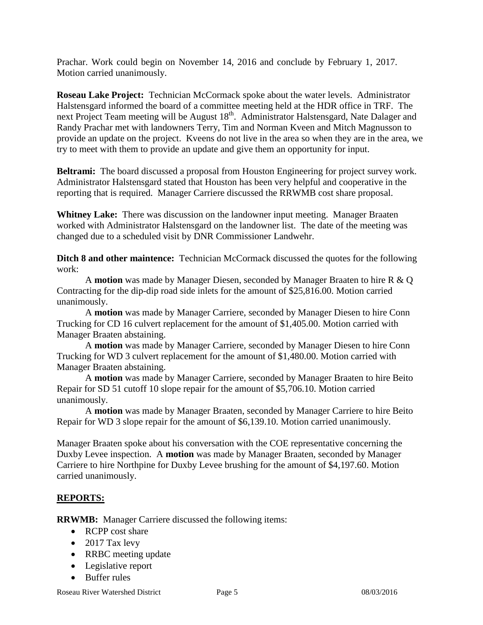Prachar. Work could begin on November 14, 2016 and conclude by February 1, 2017. Motion carried unanimously.

**Roseau Lake Project:** Technician McCormack spoke about the water levels. Administrator Halstensgard informed the board of a committee meeting held at the HDR office in TRF. The next Project Team meeting will be August 18<sup>th</sup>. Administrator Halstensgard, Nate Dalager and Randy Prachar met with landowners Terry, Tim and Norman Kveen and Mitch Magnusson to provide an update on the project. Kveens do not live in the area so when they are in the area, we try to meet with them to provide an update and give them an opportunity for input.

**Beltrami:** The board discussed a proposal from Houston Engineering for project survey work. Administrator Halstensgard stated that Houston has been very helpful and cooperative in the reporting that is required. Manager Carriere discussed the RRWMB cost share proposal.

**Whitney Lake:** There was discussion on the landowner input meeting. Manager Braaten worked with Administrator Halstensgard on the landowner list. The date of the meeting was changed due to a scheduled visit by DNR Commissioner Landwehr.

**Ditch 8 and other maintence:** Technician McCormack discussed the quotes for the following work:

A **motion** was made by Manager Diesen, seconded by Manager Braaten to hire R & Q Contracting for the dip-dip road side inlets for the amount of \$25,816.00. Motion carried unanimously.

A **motion** was made by Manager Carriere, seconded by Manager Diesen to hire Conn Trucking for CD 16 culvert replacement for the amount of \$1,405.00. Motion carried with Manager Braaten abstaining.

A **motion** was made by Manager Carriere, seconded by Manager Diesen to hire Conn Trucking for WD 3 culvert replacement for the amount of \$1,480.00. Motion carried with Manager Braaten abstaining.

A **motion** was made by Manager Carriere, seconded by Manager Braaten to hire Beito Repair for SD 51 cutoff 10 slope repair for the amount of \$5,706.10. Motion carried unanimously.

A **motion** was made by Manager Braaten, seconded by Manager Carriere to hire Beito Repair for WD 3 slope repair for the amount of \$6,139.10. Motion carried unanimously.

Manager Braaten spoke about his conversation with the COE representative concerning the Duxby Levee inspection. A **motion** was made by Manager Braaten, seconded by Manager Carriere to hire Northpine for Duxby Levee brushing for the amount of \$4,197.60. Motion carried unanimously.

# **REPORTS:**

**RRWMB:** Manager Carriere discussed the following items:

- RCPP cost share
- 2017 Tax levy
- RRBC meeting update
- Legislative report
- Buffer rules